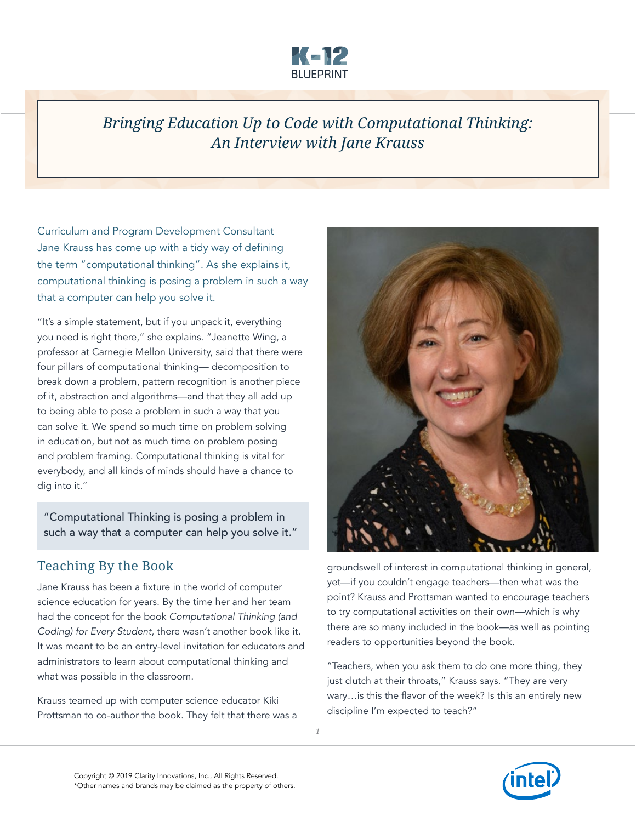

# *Bringing Education Up to Code with Computational Thinking: An Interview with Jane Krauss*

Curriculum and Program Development Consultant Jane Krauss has come up with a tidy way of defining the term "computational thinking". As she explains it, computational thinking is posing a problem in such a way that a computer can help you solve it.

"It's a simple statement, but if you unpack it, everything you need is right there," she explains. "Jeanette Wing, a professor at Carnegie Mellon University, said that there were four pillars of computational thinking— decomposition to break down a problem, pattern recognition is another piece of it, abstraction and algorithms—and that they all add up to being able to pose a problem in such a way that you can solve it. We spend so much time on problem solving in education, but not as much time on problem posing and problem framing. Computational thinking is vital for everybody, and all kinds of minds should have a chance to dig into it."

"Computational Thinking is posing a problem in such a way that a computer can help you solve it."

### Teaching By the Book

Jane Krauss has been a fixture in the world of computer science education for years. By the time her and her team had the concept for the book *Computational Thinking (and Coding) for Every Student*, there wasn't another book like it. It was meant to be an entry-level invitation for educators and administrators to learn about computational thinking and what was possible in the classroom.

Krauss teamed up with computer science educator Kiki Prottsman to co-author the book. They felt that there was a



groundswell of interest in computational thinking in general, yet—if you couldn't engage teachers—then what was the point? Krauss and Prottsman wanted to encourage teachers to try computational activities on their own—which is why there are so many included in the book—as well as pointing readers to opportunities beyond the book.

"Teachers, when you ask them to do one more thing, they just clutch at their throats," Krauss says. "They are very wary…is this the flavor of the week? Is this an entirely new discipline I'm expected to teach?"

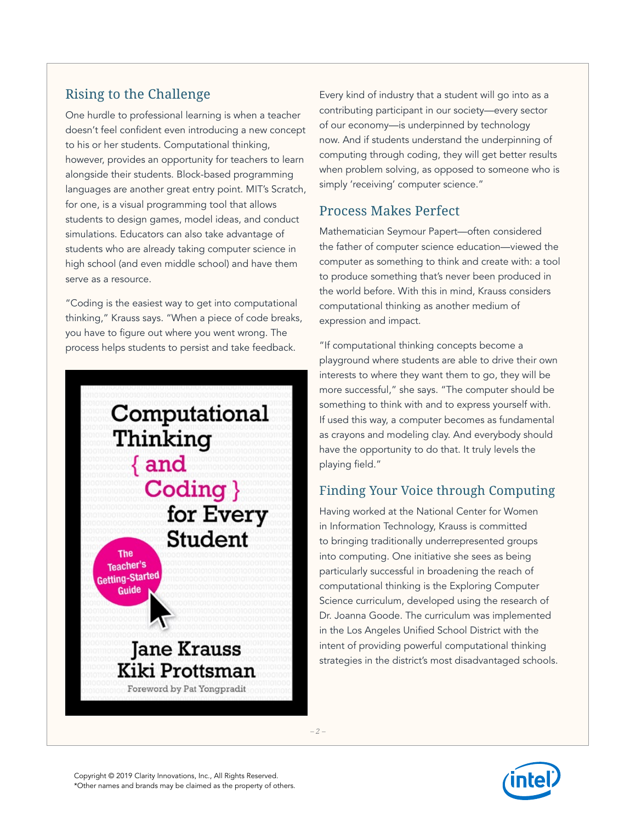# Rising to the Challenge

One hurdle to professional learning is when a teacher doesn't feel confident even introducing a new concept to his or her students. Computational thinking, however, provides an opportunity for teachers to learn alongside their students. Block-based programming languages are another great entry point. MIT's Scratch, for one, is a visual programming tool that allows students to design games, model ideas, and conduct simulations. Educators can also take advantage of students who are already taking computer science in high school (and even middle school) and have them serve as a resource.

"Coding is the easiest way to get into computational thinking," Krauss says. "When a piece of code breaks, you have to figure out where you went wrong. The process helps students to persist and take feedback.



Every kind of industry that a student will go into as a contributing participant in our society—every sector of our economy—is underpinned by technology now. And if students understand the underpinning of computing through coding, they will get better results when problem solving, as opposed to someone who is simply 'receiving' computer science."

#### Process Makes Perfect

Mathematician Seymour Papert—often considered the father of computer science education—viewed the computer as something to think and create with: a tool to produce something that's never been produced in the world before. With this in mind, Krauss considers computational thinking as another medium of expression and impact.

"If computational thinking concepts become a playground where students are able to drive their own interests to where they want them to go, they will be more successful," she says. "The computer should be something to think with and to express yourself with. If used this way, a computer becomes as fundamental as crayons and modeling clay. And everybody should have the opportunity to do that. It truly levels the playing field."

#### Finding Your Voice through Computing

Having worked at the National Center for Women in Information Technology, Krauss is committed to bringing traditionally underrepresented groups into computing. One initiative she sees as being particularly successful in broadening the reach of computational thinking is the Exploring Computer Science curriculum, developed using the research of Dr. Joanna Goode. The curriculum was implemented in the Los Angeles Unified School District with the intent of providing powerful computational thinking strategies in the district's most disadvantaged schools.

*– 2 –*